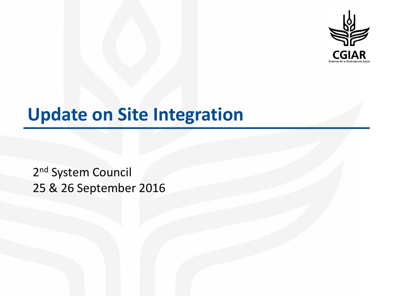

## **Update on Site Integration**

2<sup>nd</sup> System Council 25 & 26 September 2016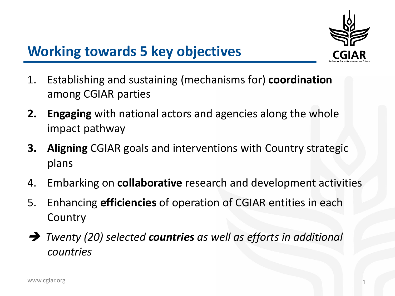

## **Working towards 5 key objectives**

- 1. Establishing and sustaining (mechanisms for) **coordination** among CGIAR parties
- **2. Engaging** with national actors and agencies along the whole impact pathway
- **3. Aligning** CGIAR goals and interventions with Country strategic plans
- 4. Embarking on **collaborative** research and development activities
- 5. Enhancing **efficiencies** of operation of CGIAR entities in each **Country**
- → *Twenty* (20) selected **countries** as well as efforts in additional *countries*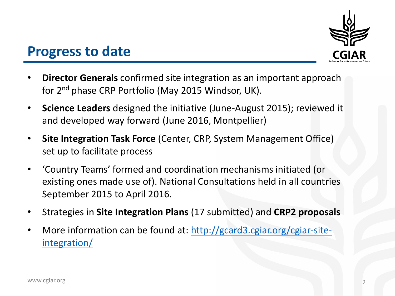

## **Progress to date**

- **Director Generals** confirmed site integration as an important approach for  $2<sup>nd</sup>$  phase CRP Portfolio (May 2015 Windsor, UK).
- **Science Leaders** designed the initiative (June-August 2015); reviewed it and developed way forward (June 2016, Montpellier)
- Site Integration Task Force (Center, CRP, System Management Office) set up to facilitate process
- 'Country Teams' formed and coordination mechanisms initiated (or existing ones made use of). National Consultations held in all countries September 2015 to April 2016.
- Strategies in **Site Integration Plans** (17 submitted) and **CRP2 proposals**
- More information can be found at: http://gcard3.cgiar.org/cgiar-siteintegration/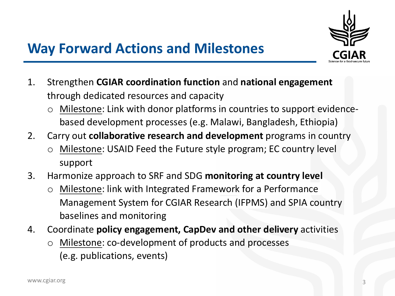

- 1. Strengthen CGIAR coordination function and national engagement through dedicated resources and capacity
	- $\circ$  Milestone: Link with donor platforms in countries to support evidencebased development processes (e.g. Malawi, Bangladesh, Ethiopia)
- 2. Carry out **collaborative research and development** programs in country
	- $\circ$  Milestone: USAID Feed the Future style program; EC country level support
- 3. Harmonize approach to SRF and SDG **monitoring at country level** 
	- o Milestone: link with Integrated Framework for a Performance Management System for CGIAR Research (IFPMS) and SPIA country baselines and monitoring
- 4. Coordinate **policy engagement, CapDev and other delivery** activities
	- $\circ$  Milestone: co-development of products and processes (e.g. publications, events)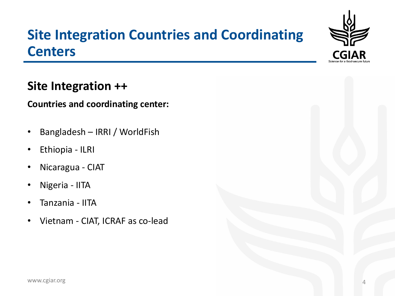## **Site Integration Countries and Coordinating Centers**



#### **Countries and coordinating center:**

- Bangladesh IRRI / WorldFish
- Ethiopia ILRI
- Nicaragua CIAT
- Nigeria IITA
- Tanzania IITA
- Vietnam CIAT, ICRAF as co-lead

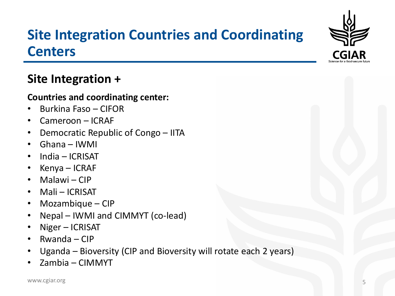## **Site Integration Countries and Coordinating Centers**

## **Site Integration +**

#### **Countries and coordinating center:**

- Burkina Faso CIFOR
- $Cameron ICRAF$
- Democratic Republic of Congo IITA
- $\cdot$  Ghana IWMI
- India ICRISAT
- Kenya ICRAF
- $\bullet$  Malawi CIP
- Mali ICRISAT
- Mozambique  $CIP$
- Nepal IWMI and CIMMYT (co-lead)
- Niger ICRISAT
- Rwanda  $CIP$
- Uganda Bioversity (CIP and Bioversity will rotate each 2 years)
- Zambia CIMMYT